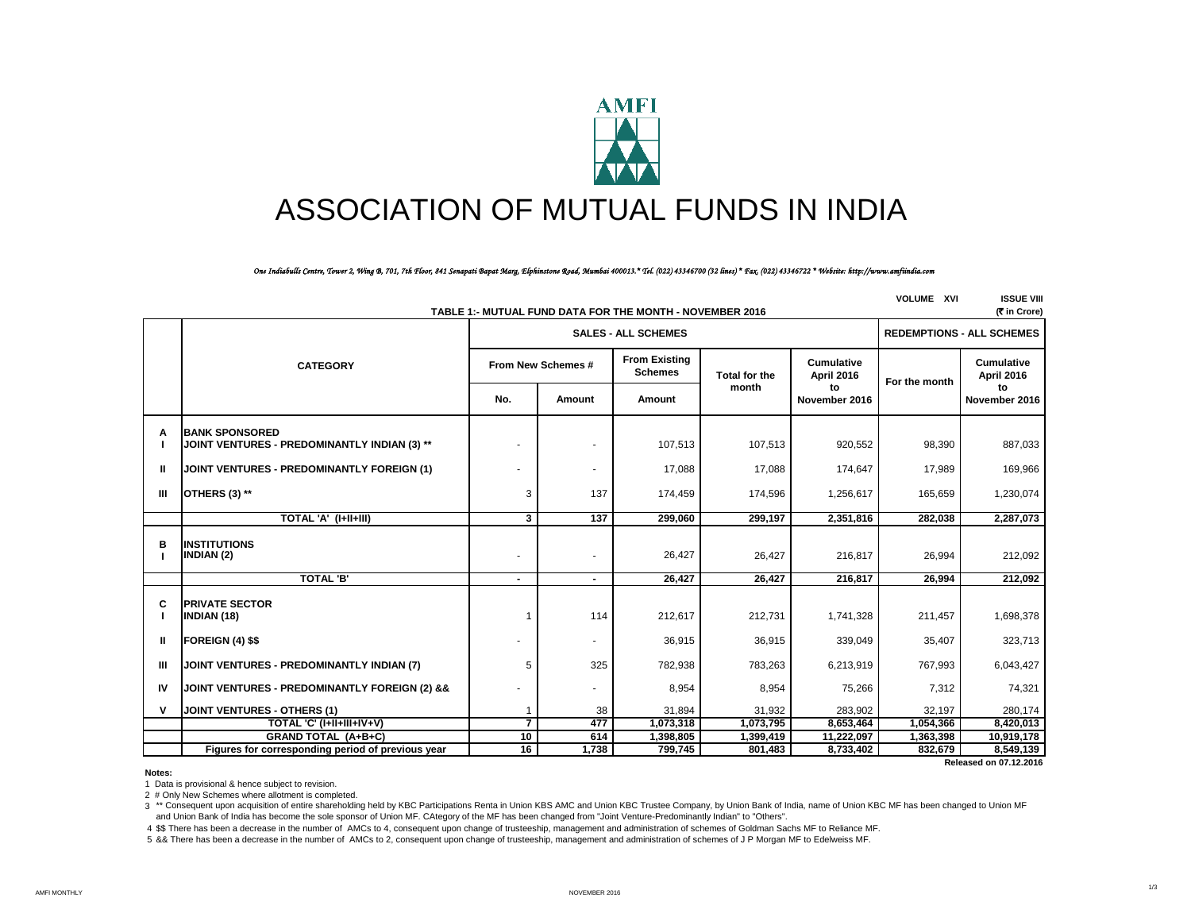

# ASSOCIATION OF MUTUAL FUNDS IN INDIA

*One Indiabulls Centre, Tower 2, Wing B, 701, 7th Floor, 841 Senapati Bapat Marg, Elphinstone Road, Mumbai 400013.\* Tel. (022) 43346700 (32 lines) \* Fax. (022) 43346722 \* Website: http://www.amfiindia.com*

|                | (रैं in Crore)<br>TABLE 1:- MUTUAL FUND DATA FOR THE MONTH - NOVEMBER 2016 |                          |                                  |                                        |                      |                                 |               |                                 |  |  |
|----------------|----------------------------------------------------------------------------|--------------------------|----------------------------------|----------------------------------------|----------------------|---------------------------------|---------------|---------------------------------|--|--|
|                |                                                                            |                          | <b>REDEMPTIONS - ALL SCHEMES</b> |                                        |                      |                                 |               |                                 |  |  |
|                | <b>CATEGORY</b>                                                            |                          | From New Schemes #               | <b>From Existing</b><br><b>Schemes</b> | <b>Total for the</b> | <b>Cumulative</b><br>April 2016 | For the month | <b>Cumulative</b><br>April 2016 |  |  |
|                |                                                                            | No.                      | Amount                           | Amount                                 | month                | to<br>November 2016             |               | to<br>November 2016             |  |  |
| A              | <b>BANK SPONSORED</b><br>JOINT VENTURES - PREDOMINANTLY INDIAN (3) **      |                          |                                  | 107,513                                | 107,513              | 920,552                         | 98,390        | 887,033                         |  |  |
| $\mathbf{I}$   | <b>JOINT VENTURES - PREDOMINANTLY FOREIGN (1)</b>                          |                          | $\sim$                           | 17,088                                 | 17,088               | 174,647                         | 17,989        | 169,966                         |  |  |
| $\mathbf{III}$ | <b>OTHERS (3) **</b>                                                       | 3                        | 137                              | 174,459                                | 174,596              | 1,256,617                       | 165,659       | 1,230,074                       |  |  |
|                | TOTAL 'A' (I+II+III)                                                       | 3                        | 137                              | 299,060                                | 299,197              | 2,351,816                       | 282,038       | 2,287,073                       |  |  |
| в              | <b>INSTITUTIONS</b><br><b>INDIAN (2)</b>                                   |                          |                                  | 26,427                                 | 26,427               | 216,817                         | 26,994        | 212,092                         |  |  |
|                | <b>TOTAL 'B'</b>                                                           | $\overline{\phantom{0}}$ | $\overline{\phantom{a}}$         | 26.427                                 | 26.427               | 216.817                         | 26.994        | 212,092                         |  |  |
| C<br>- 1       | <b>PRIVATE SECTOR</b><br><b>INDIAN (18)</b>                                |                          | 114                              | 212,617                                | 212,731              | 1,741,328                       | 211,457       | 1,698,378                       |  |  |
| Ш              | FOREIGN (4) \$\$                                                           |                          |                                  | 36,915                                 | 36,915               | 339,049                         | 35,407        | 323,713                         |  |  |
| $\mathbf{III}$ | JOINT VENTURES - PREDOMINANTLY INDIAN (7)                                  | 5                        | 325                              | 782,938                                | 783,263              | 6,213,919                       | 767,993       | 6,043,427                       |  |  |
| IV             | JOINT VENTURES - PREDOMINANTLY FOREIGN (2) &&                              |                          |                                  | 8,954                                  | 8,954                | 75,266                          | 7,312         | 74,321                          |  |  |
| $\mathsf{v}$   | JOINT VENTURES - OTHERS (1)                                                |                          | 38                               | 31,894                                 | 31,932               | 283,902                         | 32,197        | 280,174                         |  |  |
|                | TOTAL 'C' (I+II+III+IV+V)                                                  | $\overline{7}$           | 477                              | 1,073,318                              | 1,073,795            | 8,653,464                       | 1,054,366     | 8,420,013                       |  |  |
|                | <b>GRAND TOTAL (A+B+C)</b>                                                 | 10                       | 614                              | 1,398,805                              | 1,399,419            | 11,222,097                      | 1,363,398     | 10,919,178                      |  |  |
|                | Figures for corresponding period of previous year                          | 16                       | 1,738                            | 799,745                                | 801,483              | 8,733,402                       | 832,679       | 8,549,139                       |  |  |

 **Released on 07.12.2016**

**VOLUME XVI ISSUE VIII**

**Notes:**

1 Data is provisional & hence subject to revision.

2 # Only New Schemes where allotment is completed.

3 \*\* Consequent upon acquisition of entire shareholding held by KBC Participations Renta in Union KBS AMC and Union KBC Trustee Company, by Union Bank of India, name of Union KBC MF has been changed to Union MF and Union Bank of India has become the sole sponsor of Union MF. CAtegory of the MF has been changed from "Joint Venture-Predominantly Indian" to "Others".

4 \$\$ There has been a decrease in the number of AMCs to 4, consequent upon change of trusteeship, management and administration of schemes of Goldman Sachs MF to Reliance MF.

5 && There has been a decrease in the number of AMCs to 2, consequent upon change of trusteeship, management and administration of schemes of J P Morgan MF to Edelweiss MF.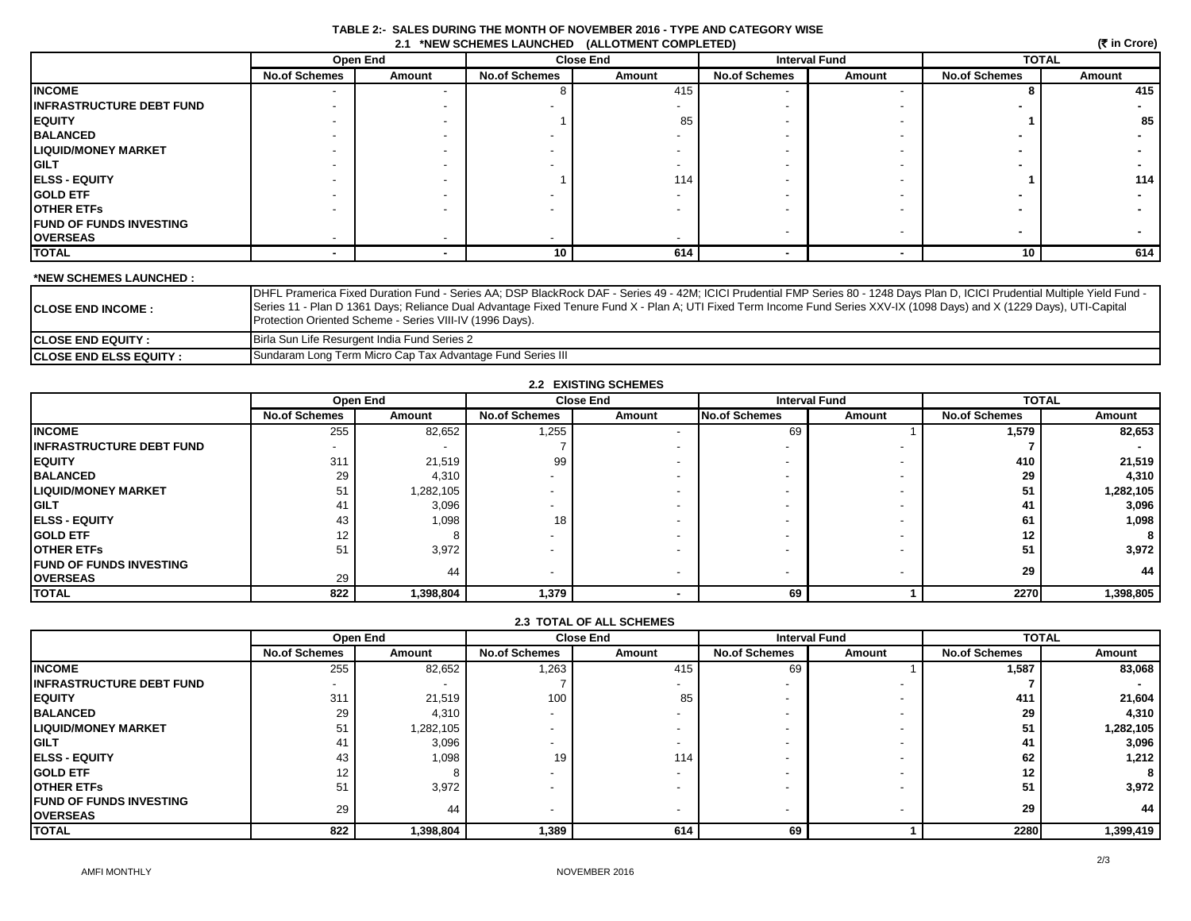| TABLE 2:- SALES DURING THE MONTH OF NOVEMBER 2016 - TYPE AND CATEGORY WISE |  |
|----------------------------------------------------------------------------|--|
| 2.1 *NEW SCHEMES LAUNCHED (ALLOTMENT COMPLETED)                            |  |

|                                |                      | (₹ in Crore) |                      |                  |                      |        |                      |        |
|--------------------------------|----------------------|--------------|----------------------|------------------|----------------------|--------|----------------------|--------|
|                                |                      | Open End     |                      | <b>Close End</b> | <b>Interval Fund</b> |        | <b>TOTAL</b>         |        |
|                                | <b>No.of Schemes</b> | Amount       | <b>No.of Schemes</b> | Amount           | <b>No.of Schemes</b> | Amount | <b>No.of Schemes</b> | Amount |
| <b>INCOME</b>                  |                      |              |                      | 415              |                      |        |                      | 415    |
| INFRASTRUCTURE DEBT FUND       |                      |              |                      |                  |                      |        |                      |        |
| EQUITY                         |                      |              |                      | 85               |                      |        |                      | 85     |
| <b>BALANCED</b>                |                      |              |                      |                  |                      |        |                      |        |
| <b>LIQUID/MONEY MARKET</b>     |                      |              |                      |                  |                      |        |                      |        |
| GILT                           |                      |              |                      |                  |                      |        |                      |        |
| <b>ELSS - EQUITY</b>           |                      |              |                      | 114              |                      |        |                      | 114    |
| <b>GOLD ETF</b>                |                      |              |                      |                  |                      |        |                      |        |
| OTHER ETFs                     |                      |              |                      |                  |                      |        |                      |        |
| <b>FUND OF FUNDS INVESTING</b> |                      |              |                      |                  |                      |        |                      |        |
| <b>OVERSEAS</b>                |                      |              |                      |                  |                      |        |                      |        |
| <b>TOTAL</b>                   |                      |              | 10                   | 614              |                      |        | 10                   | 614    |

## **\*NEW SCHEMES LAUNCHED :**

| <b>ICLOSE END INCOME :</b>      | DHFL Pramerica Fixed Duration Fund - Series AA; DSP BlackRock DAF - Series 49 - 42M; ICICI Prudential FMP Series 80 - 1248 Days Plan D, ICICI Prudential Multiple Yield Fund -<br>Series 11 - Plan D 1361 Days; Reliance Dual Advantage Fixed Tenure Fund X - Plan A; UTI Fixed Term Income Fund Series XXV-IX (1098 Days) and X (1229 Days), UTI-Capital<br>Protection Oriented Scheme - Series VIII-IV (1996 Days). |
|---------------------------------|-----------------------------------------------------------------------------------------------------------------------------------------------------------------------------------------------------------------------------------------------------------------------------------------------------------------------------------------------------------------------------------------------------------------------|
| <b>ICLOSE END EQUITY :</b>      | Birla Sun Life Resurgent India Fund Series 2                                                                                                                                                                                                                                                                                                                                                                          |
| <b>ICLOSE END ELSS EQUITY :</b> | Sundaram Long Term Micro Cap Tax Advantage Fund Series III                                                                                                                                                                                                                                                                                                                                                            |

| <b>2.2 EXISTING SCHEMES</b>     |                          |           |                          |        |                          |                          |                      |              |
|---------------------------------|--------------------------|-----------|--------------------------|--------|--------------------------|--------------------------|----------------------|--------------|
|                                 |                          | Open End  | <b>Close End</b>         |        |                          | <b>Interval Fund</b>     |                      | <b>TOTAL</b> |
|                                 | <b>No.of Schemes</b>     | Amount    | <b>No.of Schemes</b>     | Amount | <b>No.of Schemes</b>     | Amount                   | <b>No.of Schemes</b> | Amount       |
| <b>INCOME</b>                   | 255                      | 82,652    | 1,255                    |        | 69                       |                          | 1,579                | 82,653       |
| <b>INFRASTRUCTURE DEBT FUND</b> | $\overline{\phantom{a}}$ |           |                          |        | $\overline{\phantom{0}}$ | $\overline{\phantom{0}}$ |                      |              |
| <b>EQUITY</b>                   | 311                      | 21,519    | 99                       |        |                          | $\overline{\phantom{0}}$ | 410                  | 21,519       |
| <b>BALANCED</b>                 | 29                       | 4,310     | -                        |        |                          | $\overline{\phantom{a}}$ | 29                   | 4,310        |
| <b>LIQUID/MONEY MARKET</b>      | 51                       | 1,282,105 | -                        |        |                          | $\overline{\phantom{a}}$ | 51                   | 1,282,105    |
| <b>GILT</b>                     | 41                       | 3,096     | -                        |        |                          | $\overline{\phantom{a}}$ | 41                   | 3,096        |
| <b>ELSS - EQUITY</b>            | 43                       | 1,098     | 18                       |        |                          | $\overline{\phantom{0}}$ | 61                   | 1,098        |
| <b>GOLD ETF</b>                 | 12                       |           |                          |        |                          | $\overline{\phantom{0}}$ | 12 <sub>1</sub>      | 8            |
| <b>OTHER ETFS</b>               | 51                       | 3,972     | -                        |        |                          | $\overline{\phantom{0}}$ | 51                   | 3,972        |
| <b>FUND OF FUNDS INVESTING</b>  |                          | 44        |                          |        | $\sim$                   |                          | 29                   | 44           |
| <b>OVERSEAS</b>                 | 29                       |           | $\overline{\phantom{a}}$ |        |                          | $\overline{\phantom{a}}$ |                      |              |
| <b>TOTAL</b>                    | 822                      | 1,398,804 | 1,379                    |        | 69                       |                          | 2270                 | 1,398,805    |

# **2.3 TOTAL OF ALL SCHEMES**

|                                                   |                      | Open End  |                          | <b>Close End</b> |                          | <b>Interval Fund</b> |                      | <b>TOTAL</b> |  |
|---------------------------------------------------|----------------------|-----------|--------------------------|------------------|--------------------------|----------------------|----------------------|--------------|--|
|                                                   | <b>No.of Schemes</b> | Amount    | <b>No.of Schemes</b>     | Amount           | <b>No.of Schemes</b>     | Amount               | <b>No.of Schemes</b> | Amount       |  |
| <b>INCOME</b>                                     | 255                  | 82,652    | 1,263                    | 415              | 69                       |                      | 1,587                | 83,068       |  |
| <b>INFRASTRUCTURE DEBT FUND</b>                   |                      |           |                          |                  |                          |                      |                      |              |  |
| <b>EQUITY</b>                                     | 311                  | 21,519    | 100                      | 85               |                          |                      | 411                  | 21,604       |  |
| <b>BALANCED</b>                                   | 29                   | 4,310     |                          |                  |                          |                      | 29                   | 4,310        |  |
| <b>LIQUID/MONEY MARKET</b>                        | 51                   | 1,282,105 |                          |                  |                          |                      | 51                   | 1,282,105    |  |
| <b>GILT</b>                                       | 4                    | 3,096     | $\overline{\phantom{a}}$ |                  |                          |                      | 41                   | 3,096        |  |
| <b>ELSS - EQUITY</b>                              | 43                   | 1,098     | 19                       | 114              |                          |                      | 62                   | 1,212        |  |
| <b>GOLD ETF</b>                                   | 10                   |           |                          |                  |                          |                      | $12 \,$              |              |  |
| <b>OTHER ETFS</b>                                 | 51                   | 3,972     |                          |                  |                          |                      | 51                   | 3,972        |  |
| <b>FUND OF FUNDS INVESTING</b><br><b>OVERSEAS</b> | 29                   | 44        | $\overline{\phantom{0}}$ |                  | $\overline{\phantom{0}}$ |                      | 29                   | 44           |  |
| <b>TOTAL</b>                                      | 822                  | 1,398,804 | 1,389                    | 614              | 69                       |                      | 2280                 | 1,399,419    |  |